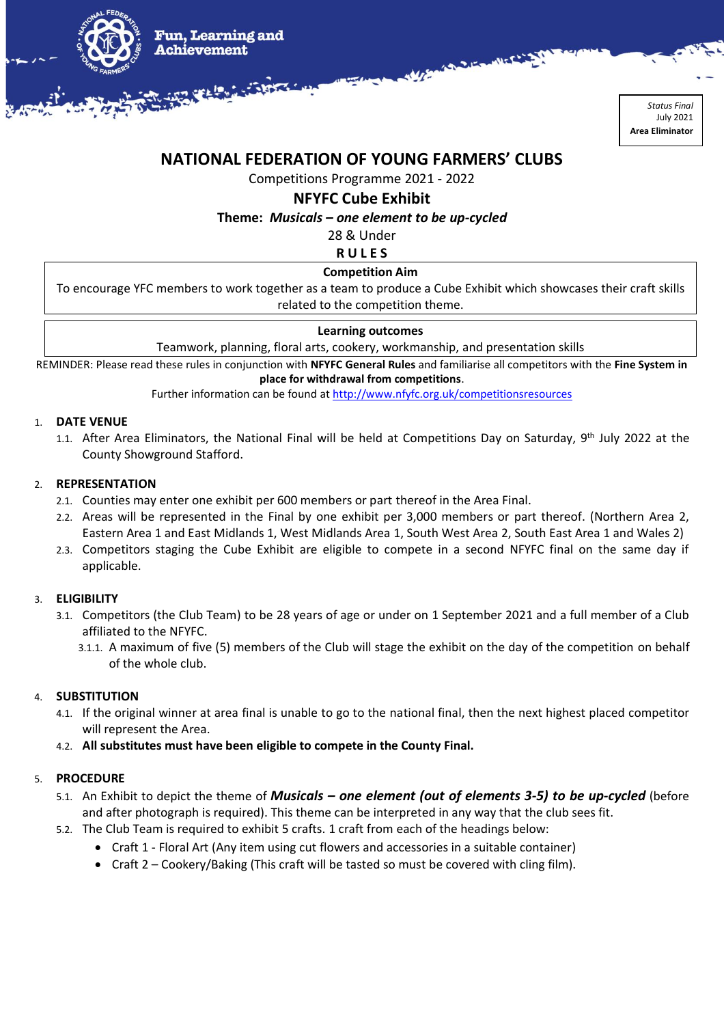

*Status Final* July 2021 **Area Eliminator**

# **NATIONAL FEDERATION OF YOUNG FARMERS' CLUBS**

Competitions Programme 2021 - 2022

## **NFYFC Cube Exhibit**

**Theme:** *Musicals – one element to be up-cycled*

28 & Under

**R U L E S**

## **Competition Aim**

To encourage YFC members to work together as a team to produce a Cube Exhibit which showcases their craft skills related to the competition theme.

## **Learning outcomes**

Teamwork, planning, floral arts, cookery, workmanship, and presentation skills

REMINDER: Please read these rules in conjunction with **NFYFC General Rules** and familiarise all competitors with the **Fine System in** 

**place for withdrawal from competitions**.

Further information can be found a[t http://www.nfyfc.org.uk/competitionsresources](http://www.nfyfc.org.uk/competitionsresources)

### 1. **DATE VENUE**

1.1. After Area Eliminators, the National Final will be held at Competitions Day on Saturday, 9<sup>th</sup> July 2022 at the County Showground Stafford.

## 2. **REPRESENTATION**

- 2.1. Counties may enter one exhibit per 600 members or part thereof in the Area Final.
- 2.2. Areas will be represented in the Final by one exhibit per 3,000 members or part thereof. (Northern Area 2, Eastern Area 1 and East Midlands 1, West Midlands Area 1, South West Area 2, South East Area 1 and Wales 2)
- 2.3. Competitors staging the Cube Exhibit are eligible to compete in a second NFYFC final on the same day if applicable.

## 3. **ELIGIBILITY**

- 3.1. Competitors (the Club Team) to be 28 years of age or under on 1 September 2021 and a full member of a Club affiliated to the NFYFC.
	- 3.1.1. A maximum of five (5) members of the Club will stage the exhibit on the day of the competition on behalf of the whole club.

## 4. **SUBSTITUTION**

- 4.1. If the original winner at area final is unable to go to the national final, then the next highest placed competitor will represent the Area.
- 4.2. **All substitutes must have been eligible to compete in the County Final.**

## 5. **PROCEDURE**

- 5.1. An Exhibit to depict the theme of *Musicals – one element (out of elements 3-5) to be up-cycled* (before and after photograph is required). This theme can be interpreted in any way that the club sees fit.
- 5.2. The Club Team is required to exhibit 5 crafts. 1 craft from each of the headings below:
	- Craft 1 Floral Art (Any item using cut flowers and accessories in a suitable container)
	- Craft 2 Cookery/Baking (This craft will be tasted so must be covered with cling film).